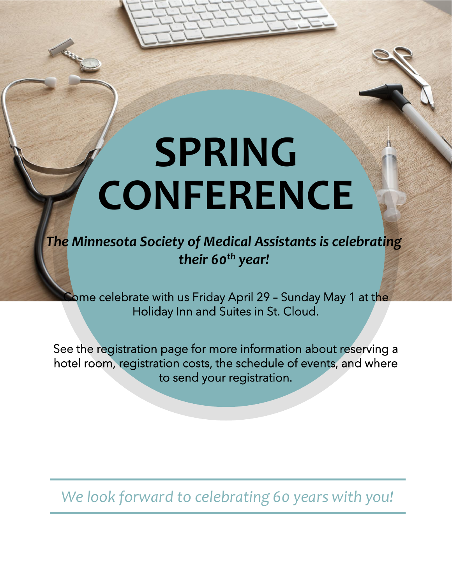# **SPRING CONFERENCE**

*The Minnesota Society of Medical Assistants is celebrating their 60th year!*

**Come celebrate with us Friday April 29 - Sunday May 1 at the** Holiday Inn and Suites in St. Cloud.

See the registration page for more information about reserving a hotel room, registration costs, the schedule of events, and where to send your registration.

*We look forward to celebrating 60 years with you!*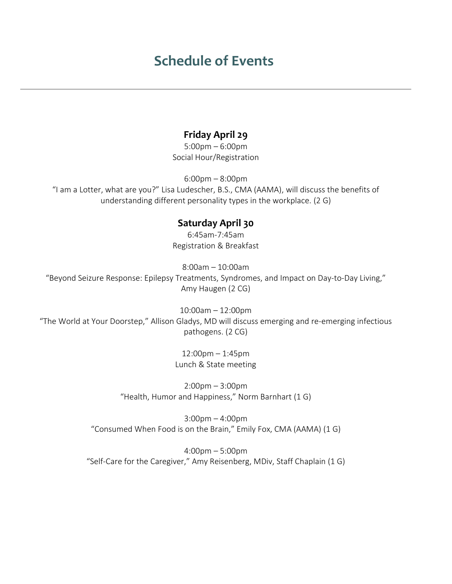## **Schedule of Events**

I

### **Friday April 29**

5:00pm – 6:00pm Social Hour/Registration

6:00pm – 8:00pm "I am a Lotter, what are you?" Lisa Ludescher, B.S., CMA (AAMA), will discuss the benefits of understanding different personality types in the workplace. (2 G)

#### **Saturday April 30**

6:45am-7:45am Registration & Breakfast

8:00am – 10:00am "Beyond Seizure Response: Epilepsy Treatments, Syndromes, and Impact on Day-to-Day Living," Amy Haugen (2 CG)

10:00am – 12:00pm "The World at Your Doorstep," Allison Gladys, MD will discuss emerging and re-emerging infectious pathogens. (2 CG)

> 12:00pm – 1:45pm Lunch & State meeting

2:00pm – 3:00pm "Health, Humor and Happiness," Norm Barnhart (1 G)

3:00pm – 4:00pm "Consumed When Food is on the Brain," Emily Fox, CMA (AAMA) (1 G)

4:00pm – 5:00pm "Self-Care for the Caregiver," Amy Reisenberg, MDiv, Staff Chaplain (1 G)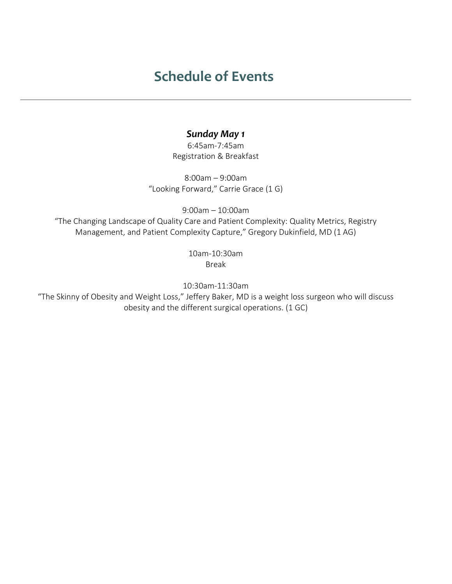# **Schedule of Events**

#### *Sunday May 1*

6:45am-7:45am Registration & Breakfast

8:00am – 9:00am "Looking Forward," Carrie Grace (1 G)

9:00am – 10:00am "The Changing Landscape of Quality Care and Patient Complexity: Quality Metrics, Registry Management, and Patient Complexity Capture," Gregory Dukinfield, MD (1 AG)

> 10am-10:30am Break

10:30am-11:30am

"The Skinny of Obesity and Weight Loss," Jeffery Baker, MD is a weight loss surgeon who will discuss obesity and the different surgical operations. (1 GC)